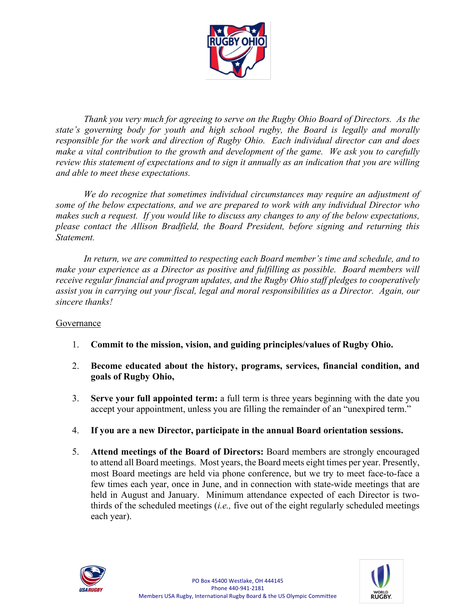

*Thank you very much for agreeing to serve on the Rugby Ohio Board of Directors. As the state's governing body for youth and high school rugby, the Board is legally and morally responsible for the work and direction of Rugby Ohio. Each individual director can and does make a vital contribution to the growth and development of the game. We ask you to carefully review this statement of expectations and to sign it annually as an indication that you are willing and able to meet these expectations.*

*We do recognize that sometimes individual circumstances may require an adjustment of some of the below expectations, and we are prepared to work with any individual Director who makes such a request. If you would like to discuss any changes to any of the below expectations, please contact the Allison Bradfield, the Board President, before signing and returning this Statement.*

*In return, we are committed to respecting each Board member's time and schedule, and to make your experience as a Director as positive and fulfilling as possible. Board members will receive regular financial and program updates, and the Rugby Ohio staff pledges to cooperatively assist you in carrying out your fiscal, legal and moral responsibilities as a Director. Again, our sincere thanks!*

## Governance

- 1. **Commit to the mission, vision, and guiding principles/values of Rugby Ohio.**
- 2. **Become educated about the history, programs, services, financial condition, and goals of Rugby Ohio,**
- 3. **Serve your full appointed term:** a full term is three years beginning with the date you accept your appointment, unless you are filling the remainder of an "unexpired term."
- 4. **If you are a new Director, participate in the annual Board orientation sessions.**
- 5. **Attend meetings of the Board of Directors:** Board members are strongly encouraged to attend all Board meetings. Most years, the Board meets eight times per year. Presently, most Board meetings are held via phone conference, but we try to meet face-to-face a few times each year, once in June, and in connection with state-wide meetings that are held in August and January. Minimum attendance expected of each Director is twothirds of the scheduled meetings (*i.e.,* five out of the eight regularly scheduled meetings each year).



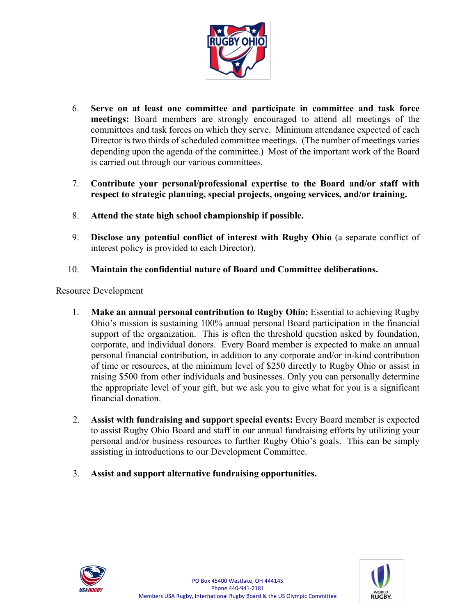

- 6. **Serve on at least one committee and participate in committee and task force meetings:** Board members are strongly encouraged to attend all meetings of the committees and task forces on which they serve. Minimum attendance expected of each Director is two thirds of scheduled committee meetings. (The number of meetings varies depending upon the agenda of the committee.) Most of the important work of the Board is carried out through our various committees.
- 7. **Contribute your personal/professional expertise to the Board and/or staff with respect to strategic planning, special projects, ongoing services, and/or training.**
- 8. **Attend the state high school championship if possible.**
- 9. **Disclose any potential conflict of interest with Rugby Ohio** (a separate conflict of interest policy is provided to each Director).
- 10. **Maintain the confidential nature of Board and Committee deliberations.**

## Resource Development

- 1. **Make an annual personal contribution to Rugby Ohio:** Essential to achieving Rugby Ohio's mission is sustaining 100% annual personal Board participation in the financial support of the organization. This is often the threshold question asked by foundation, corporate, and individual donors. Every Board member is expected to make an annual personal financial contribution, in addition to any corporate and/or in-kind contribution of time or resources, at the minimum level of \$250 directly to Rugby Ohio or assist in raising \$500 from other individuals and businesses. Only you can personally determine the appropriate level of your gift, but we ask you to give what for you is a significant financial donation.
- 2. **Assist with fundraising and support special events:** Every Board member is expected to assist Rugby Ohio Board and staff in our annual fundraising efforts by utilizing your personal and/or business resources to further Rugby Ohio's goals. This can be simply assisting in introductions to our Development Committee.
- 3. **Assist and support alternative fundraising opportunities.**